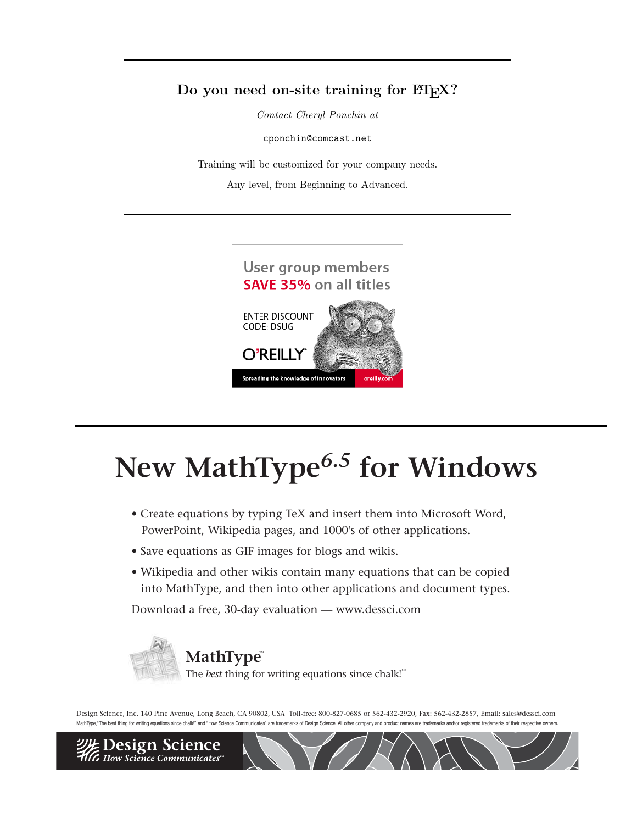### Do you need on-site training for  $\text{ETr} X?$

Contact Cheryl Ponchin at

cponchin@comcast.net

Training will be customized for your company needs.

Any level, from Beginning to Advanced.



# **New MathType***6.5* **for Windows**

- Create equations by typing TeX and insert them into Microsoft Word, PowerPoint, Wikipedia pages, and 1000's of other applications.
- Save equations as GIF images for blogs and wikis.
- Wikipedia and other wikis contain many equations that can be copied into MathType, and then into other applications and document types.

Download a free, 30-day evaluation — www.dessci.com



Jesign Science  $G$  How Science Communicates

MathType,"The best thing for writing equations since chalk!" and "How Science Communicates" are trademarks of Design Science. All other company and product names are trademarks and/or registered trademarks of their respect Design Science, Inc. 140 Pine Avenue, Long Beach, CA 90802, USA Toll-free: 800-827-0685 or 562-432-2920, Fax: 562-432-2857, Email: sales@dessci.com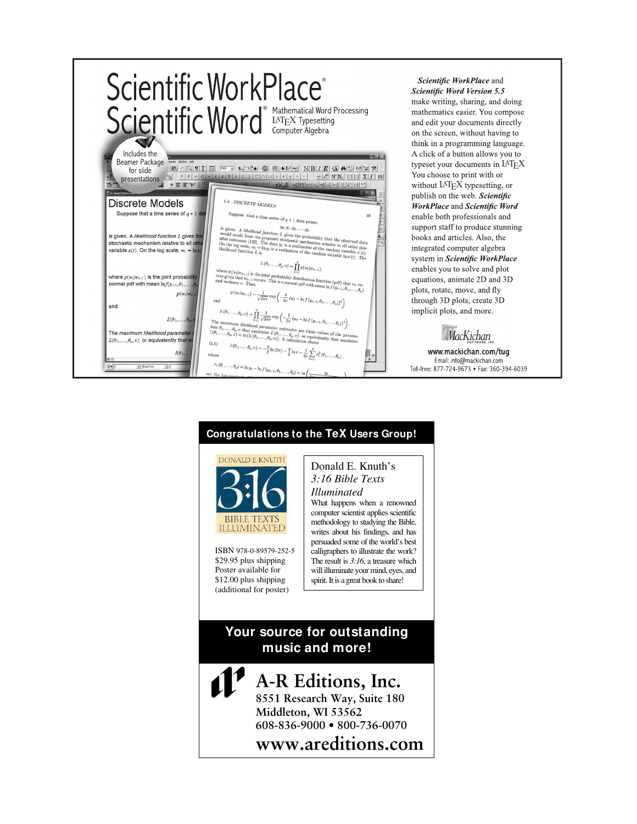

#### Scientific WorkPlace and **Scientific Word Version 5.5**

make writing, sharing, and doing mathematics easier. You compose and edit your documents directly on the screen, without having to think in a programming language. A click of a button allows you to typeset your documents in LAT<sub>E</sub>X<br>You choose to print with or without L<sup>AT</sup>EX typesetting, or<br>publish on the web. Scientific WorkPlace and Scientific Word enable both professionals and support staff to produce stunning books and articles. Also, the integrated computer algebra system in Scientific WorkPlace enables you to solve and plot equations, animate 2D and 3D plots, rotate, move, and fly through 3D plots, create 3D implicit plots, and more.

## *MacKichan*

www.mackichan.com/tug Email: info@mackichan.com Toll-free: 877-724-9673 + Fax: 360-394-6039

### **Congratulations to the TeX Users Group!**



ISBN 978-0-89579-252-5 \$29.95 plus shipping Poster available for \$12.00 plus shipping (additional for poster)

### Donald E. Knuth's *3:16 Bible Texts Illuminated*

What happens when a renowned computer scientist applies scientific methodology to studying the Bible, writes about his findings, and has persuaded some of the world's best calligraphers to illustrate the work? The result is *3:16*, a treasure which will illuminate your mind, eyes, and spirit. It is a great book to share!

### **Your source for outstanding music and more!**



 **A-R Editions, Inc. 8551 Research Way, Suite 180 Middleton, WI 53562 608-836-9000 • 800-736-0070** 

**www.areditions.com**